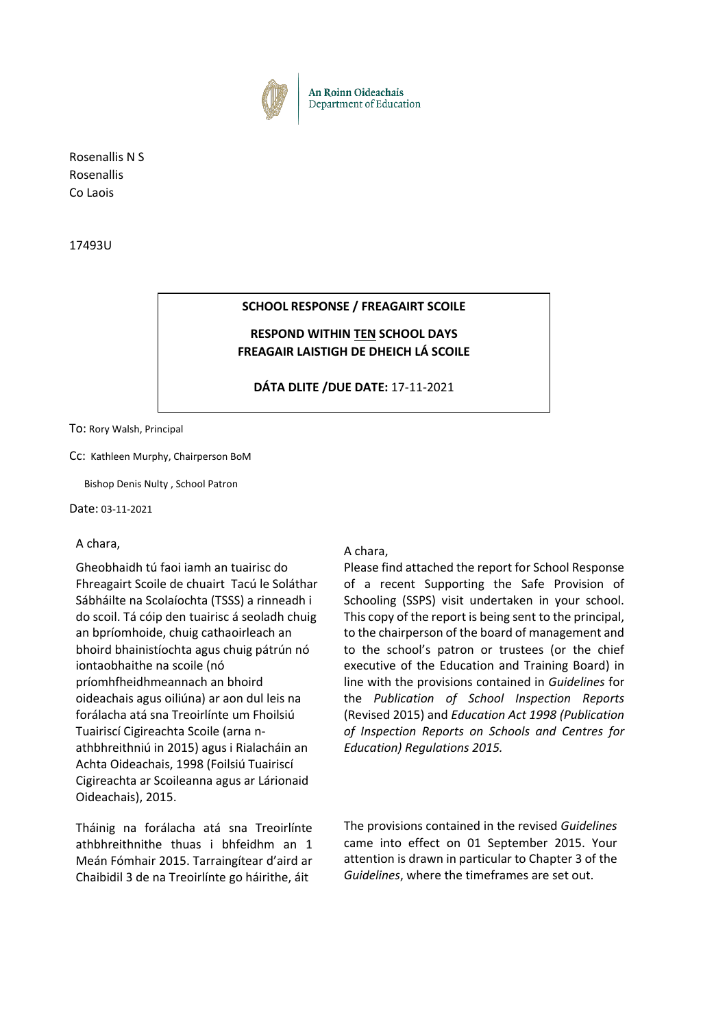

Rosenallis N S Rosenallis Co Laois

17493U

### **SCHOOL RESPONSE / FREAGAIRT SCOILE**

### **RESPOND WITHIN TEN SCHOOL DAYS FREAGAIR LAISTIGH DE DHEICH LÁ SCOILE**

### **DÁTA DLITE /DUE DATE:** 17-11-2021

To: Rory Walsh, Principal

Cc: Kathleen Murphy, Chairperson BoM

Bishop Denis Nulty , School Patron

Date: 03-11-2021

#### A chara,

Gheobhaidh tú faoi iamh an tuairisc do Fhreagairt Scoile de chuairt Tacú le Soláthar Sábháilte na Scolaíochta (TSSS) a rinneadh i do scoil. Tá cóip den tuairisc á seoladh chuig an bpríomhoide, chuig cathaoirleach an bhoird bhainistíochta agus chuig pátrún nó iontaobhaithe na scoile (nó príomhfheidhmeannach an bhoird oideachais agus oiliúna) ar aon dul leis na forálacha atá sna Treoirlínte um Fhoilsiú Tuairiscí Cigireachta Scoile (arna nathbhreithniú in 2015) agus i Rialacháin an Achta Oideachais, 1998 (Foilsiú Tuairiscí Cigireachta ar Scoileanna agus ar Lárionaid Oideachais), 2015.

Tháinig na forálacha atá sna Treoirlínte athbhreithnithe thuas i bhfeidhm an 1 Meán Fómhair 2015. Tarraingítear d'aird ar Chaibidil 3 de na Treoirlínte go háirithe, áit

#### A chara,

Please find attached the report for School Response of a recent Supporting the Safe Provision of Schooling (SSPS) visit undertaken in your school. This copy of the report is being sent to the principal, to the chairperson of the board of management and to the school's patron or trustees (or the chief executive of the Education and Training Board) in line with the provisions contained in *Guidelines* for the *Publication of School Inspection Reports*  (Revised 2015) and *Education Act 1998 (Publication of Inspection Reports on Schools and Centres for Education) Regulations 2015.* 

The provisions contained in the revised *Guidelines* came into effect on 01 September 2015. Your attention is drawn in particular to Chapter 3 of the *Guidelines*, where the timeframes are set out.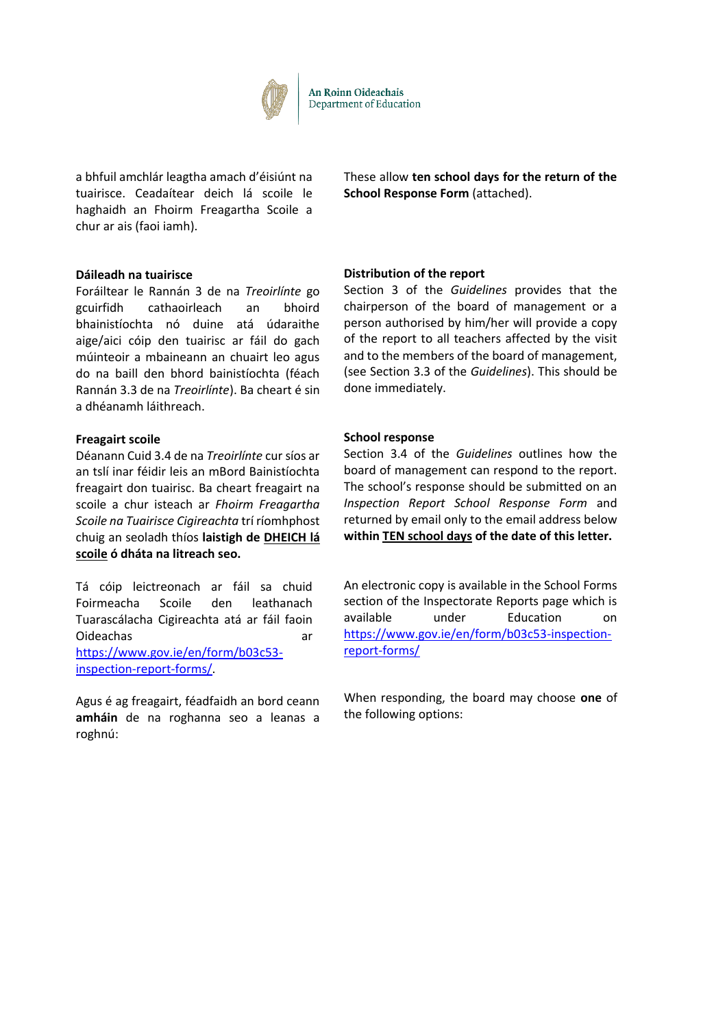

Department of Education

a bhfuil amchlár leagtha amach d'éisiúnt na tuairisce. Ceadaítear deich lá scoile le haghaidh an Fhoirm Freagartha Scoile a chur ar ais (faoi iamh).

**Dáileadh na tuairisce**

Foráiltear le Rannán 3 de na *Treoirlínte* go gcuirfidh cathaoirleach an bhoird bhainistíochta nó duine atá údaraithe aige/aici cóip den tuairisc ar fáil do gach múinteoir a mbaineann an chuairt leo agus do na baill den bhord bainistíochta (féach Rannán 3.3 de na *Treoirlínte*). Ba cheart é sin a dhéanamh láithreach.

#### **Freagairt scoile**

Déanann Cuid 3.4 de na *Treoirlínte* cur síos ar an tslí inar féidir leis an mBord Bainistíochta freagairt don tuairisc. Ba cheart freagairt na scoile a chur isteach ar *Fhoirm Freagartha Scoile na Tuairisce Cigireachta* trí ríomhphost chuig an seoladh thíos **laistigh de DHEICH lá scoile ó dháta na litreach seo.**

Tá cóip leictreonach ar fáil sa chuid Foirmeacha Scoile den leathanach Tuarascálacha Cigireachta atá ar fáil faoin Oideachas ar https://www.gov.ie/en/form/b03c53 inspection-report-forms/.

Agus é ag freagairt, féadfaidh an bord ceann **amháin** de na roghanna seo a leanas a roghnú:

These allow **ten school days for the return of the School Response Form** (attached).

### **Distribution of the report**

Section 3 of the *Guidelines* provides that the chairperson of the board of management or a person authorised by him/her will provide a copy of the report to all teachers affected by the visit and to the members of the board of management, (see Section 3.3 of the *Guidelines*). This should be done immediately.

#### **School response**

Section 3.4 of the *Guidelines* outlines how the board of management can respond to the report. The school's response should be submitted on an *Inspection Report School Response Form* and returned by email only to the email address below **within TEN school days of the date of this letter.** 

An electronic copy is available in the School Forms section of the Inspectorate Reports page which is available under Education on https://www.gov.ie/en/form/b03c53-inspectionreport-forms/

When responding, the board may choose **one** of the following options: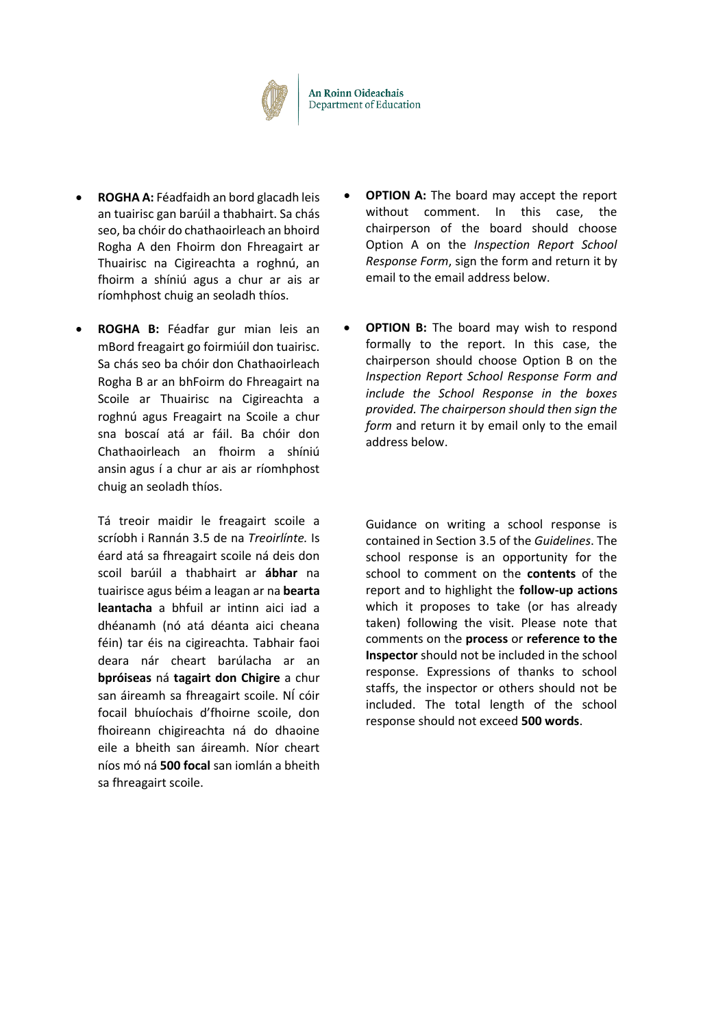

- **ROGHA A:** Féadfaidh an bord glacadh leis an tuairisc gan barúil a thabhairt. Sa chás seo, ba chóir do chathaoirleach an bhoird Rogha A den Fhoirm don Fhreagairt ar Thuairisc na Cigireachta a roghnú, an fhoirm a shíniú agus a chur ar ais ar ríomhphost chuig an seoladh thíos.
- **ROGHA B:** Féadfar gur mian leis an mBord freagairt go foirmiúil don tuairisc. Sa chás seo ba chóir don Chathaoirleach Rogha B ar an bhFoirm do Fhreagairt na Scoile ar Thuairisc na Cigireachta a roghnú agus Freagairt na Scoile a chur sna boscaí atá ar fáil. Ba chóir don Chathaoirleach an fhoirm a shíniú ansin agus í a chur ar ais ar ríomhphost chuig an seoladh thíos.

Tá treoir maidir le freagairt scoile a scríobh i Rannán 3.5 de na *Treoirlínte.* Is éard atá sa fhreagairt scoile ná deis don scoil barúil a thabhairt ar **ábhar** na tuairisce agus béim a leagan ar na **bearta leantacha** a bhfuil ar intinn aici iad a dhéanamh (nó atá déanta aici cheana féin) tar éis na cigireachta. Tabhair faoi deara nár cheart barúlacha ar an **bpróiseas** ná **tagairt don Chigire** a chur san áireamh sa fhreagairt scoile. NÍ cóir focail bhuíochais d'fhoirne scoile, don fhoireann chigireachta ná do dhaoine eile a bheith san áireamh. Níor cheart níos mó ná **500 focal** san iomlán a bheith sa fhreagairt scoile.

- **OPTION A:** The board may accept the report without comment. In this case, the chairperson of the board should choose Option A on the *Inspection Report School Response Form*, sign the form and return it by email to the email address below.
- **OPTION B:** The board may wish to respond formally to the report. In this case, the chairperson should choose Option B on the *Inspection Report School Response Form and include the School Response in the boxes provided. The chairperson should then sign the*  form and return it by email only to the email address below.

Guidance on writing a school response is contained in Section 3.5 of the *Guidelines*. The school response is an opportunity for the school to comment on the **contents** of the report and to highlight the **follow-up actions** which it proposes to take (or has already taken) following the visit. Please note that comments on the **process** or **reference to the Inspector** should not be included in the school response. Expressions of thanks to school staffs, the inspector or others should not be included. The total length of the school response should not exceed **500 words**.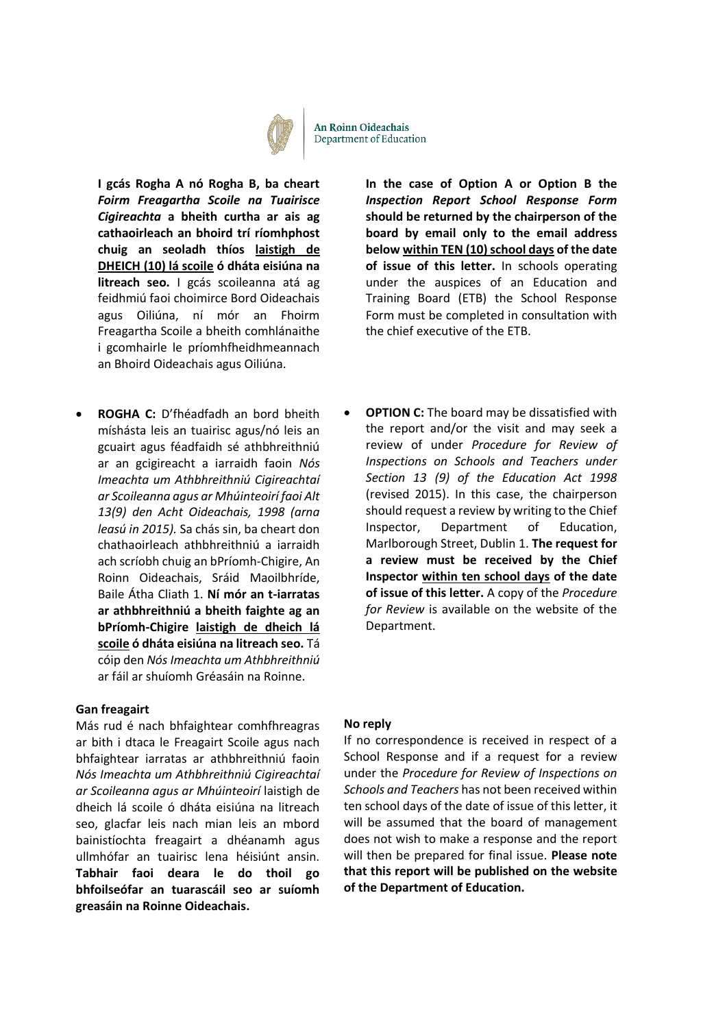

An Roinn Oideachais Department of Education

**I gcás Rogha A nó Rogha B, ba cheart**  *Foirm Freagartha Scoile na Tuairisce Cigireachta* **a bheith curtha ar ais ag cathaoirleach an bhoird trí ríomhphost chuig an seoladh thíos laistigh de DHEICH (10) lá scoile ó dháta eisiúna na litreach seo.** I gcás scoileanna atá ag feidhmiú faoi choimirce Bord Oideachais agus Oiliúna, ní mór an Fhoirm Freagartha Scoile a bheith comhlánaithe i gcomhairle le príomhfheidhmeannach an Bhoird Oideachais agus Oiliúna.

 **ROGHA C:** D'fhéadfadh an bord bheith míshásta leis an tuairisc agus/nó leis an gcuairt agus féadfaidh sé athbhreithniú ar an gcigireacht a iarraidh faoin *Nós Imeachta um Athbhreithniú Cigireachtaí ar Scoileanna agus ar Mhúinteoirí faoi Alt 13(9) den Acht Oideachais, 1998 (arna leasú in 2015).* Sa chás sin, ba cheart don chathaoirleach athbhreithniú a iarraidh ach scríobh chuig an bPríomh-Chigire, An Roinn Oideachais, Sráid Maoilbhríde, Baile Átha Cliath 1. **Ní mór an t-iarratas ar athbhreithniú a bheith faighte ag an bPríomh-Chigire laistigh de dheich lá scoile ó dháta eisiúna na litreach seo.** Tá cóip den *Nós Imeachta um Athbhreithniú* ar fáil ar shuíomh Gréasáin na Roinne.

#### **Gan freagairt**

Más rud é nach bhfaightear comhfhreagras ar bith i dtaca le Freagairt Scoile agus nach bhfaightear iarratas ar athbhreithniú faoin *Nós Imeachta um Athbhreithniú Cigireachtaí ar Scoileanna agus ar Mhúinteoirí* laistigh de dheich lá scoile ó dháta eisiúna na litreach seo, glacfar leis nach mian leis an mbord bainistíochta freagairt a dhéanamh agus ullmhófar an tuairisc lena héisiúnt ansin. **Tabhair faoi deara le do thoil go bhfoilseófar an tuarascáil seo ar suíomh greasáin na Roinne Oideachais.**

**In the case of Option A or Option B the**  *Inspection Report School Response Form*  **should be returned by the chairperson of the board by email only to the email address below within TEN (10) school days of the date of issue of this letter.** In schools operating under the auspices of an Education and Training Board (ETB) the School Response Form must be completed in consultation with the chief executive of the ETB.

 **OPTION C:** The board may be dissatisfied with the report and/or the visit and may seek a review of under *Procedure for Review of Inspections on Schools and Teachers under Section 13 (9) of the Education Act 1998*  (revised 2015). In this case, the chairperson should request a review by writing to the Chief Inspector, Department of Education, Marlborough Street, Dublin 1. **The request for a review must be received by the Chief Inspector within ten school days of the date of issue of this letter.** A copy of the *Procedure for Review* is available on the website of the Department.

#### **No reply**

If no correspondence is received in respect of a School Response and if a request for a review under the *Procedure for Review of Inspections on Schools and Teachers* has not been received within ten school days of the date of issue of this letter, it will be assumed that the board of management does not wish to make a response and the report will then be prepared for final issue. **Please note that this report will be published on the website of the Department of Education.**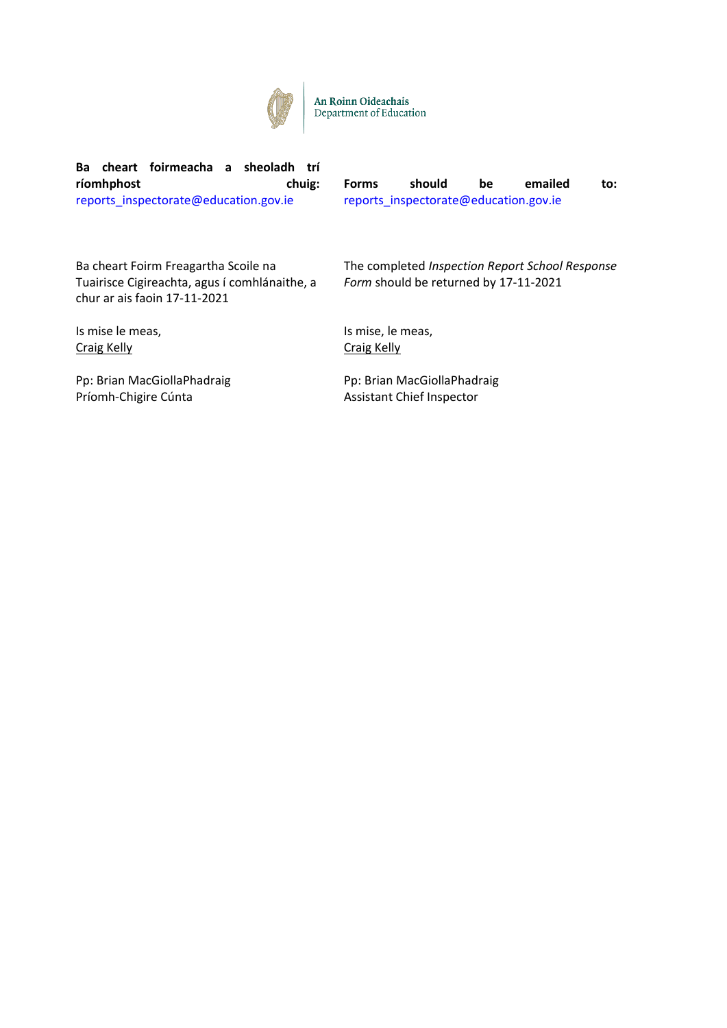

An Roinn Oideachais Department of Education

**Ba cheart foirmeacha a sheoladh trí ríomhphost chuig:**  reports\_inspectorate@education.gov.ie

**Forms should be emailed to:**  reports\_inspectorate@education.gov.ie

Ba cheart Foirm Freagartha Scoile na Tuairisce Cigireachta, agus í comhlánaithe, a chur ar ais faoin 17-11-2021

Is mise le meas, Craig Kelly

Pp: Brian MacGiollaPhadraig Príomh-Chigire Cúnta

The completed *Inspection Report School Response Form* should be returned by 17-11-2021

Is mise, le meas, Craig Kelly

Pp: Brian MacGiollaPhadraig Assistant Chief Inspector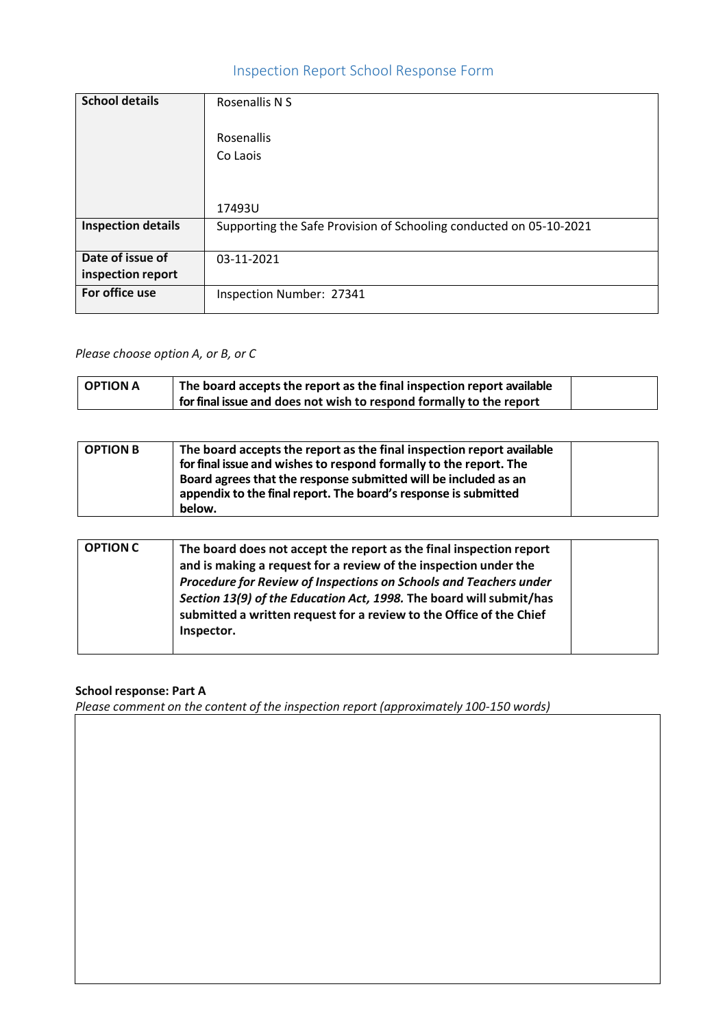# Inspection Report School Response Form

| <b>School details</b>     | Rosenallis N S                                                     |
|---------------------------|--------------------------------------------------------------------|
|                           | Rosenallis                                                         |
|                           | Co Laois                                                           |
|                           |                                                                    |
|                           | 17493U                                                             |
| <b>Inspection details</b> | Supporting the Safe Provision of Schooling conducted on 05-10-2021 |
| Date of issue of          | 03-11-2021                                                         |
| inspection report         |                                                                    |
| For office use            | Inspection Number: 27341                                           |

# *Please choose option A, or B, or C*

| OPTION A | <sup>1</sup> The board accepts the report as the final inspection report available |  |
|----------|------------------------------------------------------------------------------------|--|
|          | for final issue and does not wish to respond formally to the report                |  |

| <b>OPTION B</b> | The board accepts the report as the final inspection report available |  |
|-----------------|-----------------------------------------------------------------------|--|
|                 | for final issue and wishes to respond formally to the report. The     |  |
|                 | Board agrees that the response submitted will be included as an       |  |
|                 | appendix to the final report. The board's response is submitted       |  |
|                 | below.                                                                |  |

| <b>OPTION C</b> | The board does not accept the report as the final inspection report<br>and is making a request for a review of the inspection under the<br>Procedure for Review of Inspections on Schools and Teachers under<br>Section 13(9) of the Education Act, 1998. The board will submit/has |  |
|-----------------|-------------------------------------------------------------------------------------------------------------------------------------------------------------------------------------------------------------------------------------------------------------------------------------|--|
|                 | submitted a written request for a review to the Office of the Chief<br>Inspector.                                                                                                                                                                                                   |  |

# **School response: Part A**

*Please comment on the content of the inspection report (approximately 100-150 words)*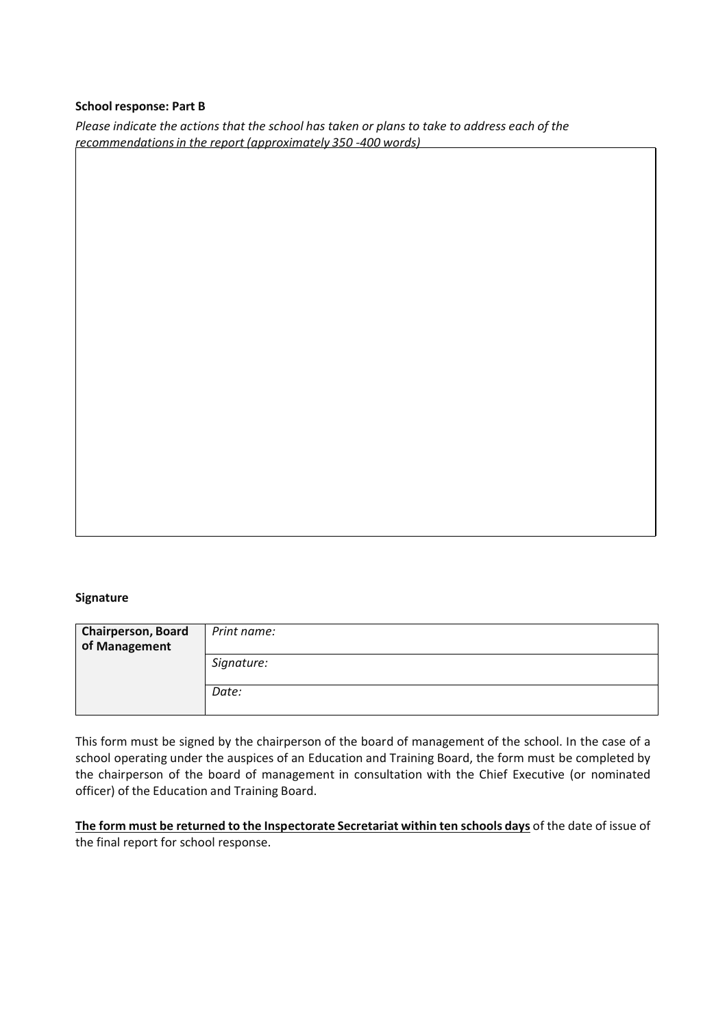### **School response: Part B**

*Please indicate the actions that the school has taken or plans to take to address each of the recommendationsin the report (approximately 350 -400 words)*

# **Signature**

| <b>Chairperson, Board</b><br>of Management | Print name: |
|--------------------------------------------|-------------|
|                                            | Signature:  |
|                                            | Date:       |

This form must be signed by the chairperson of the board of management of the school. In the case of a school operating under the auspices of an Education and Training Board, the form must be completed by the chairperson of the board of management in consultation with the Chief Executive (or nominated officer) of the Education and Training Board.

**The form must be returned to the Inspectorate Secretariat within ten schools days** of the date of issue of the final report for school response.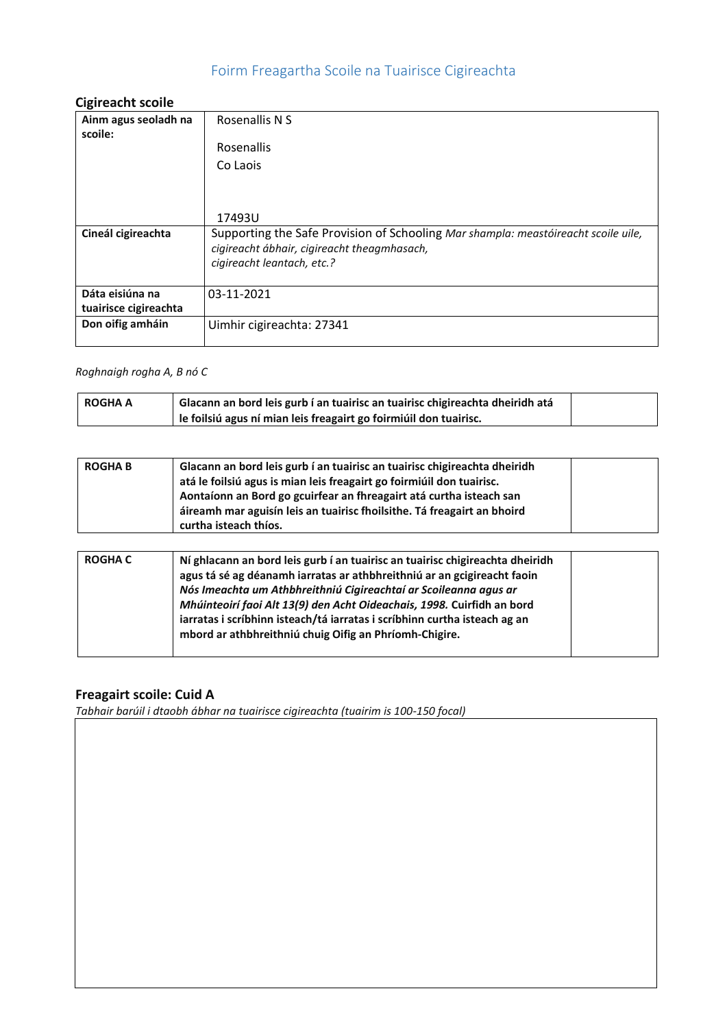# Foirm Freagartha Scoile na Tuairisce Cigireachta

# **Cigireacht scoile**

| <b>UIRII CUUIIL JUUIIL</b>      |                                                                                                                                   |
|---------------------------------|-----------------------------------------------------------------------------------------------------------------------------------|
| Ainm agus seoladh na<br>scoile: | Rosenallis N S                                                                                                                    |
|                                 | Rosenallis                                                                                                                        |
|                                 | Co Laois                                                                                                                          |
|                                 |                                                                                                                                   |
|                                 | 17493U                                                                                                                            |
| Cineál cigireachta              | Supporting the Safe Provision of Schooling Mar shampla: meastóireacht scoile uile,<br>cigireacht ábhair, cigireacht theagmhasach, |
|                                 | cigireacht leantach, etc.?                                                                                                        |
| Dáta eisiúna na                 | 03-11-2021                                                                                                                        |
| tuairisce cigireachta           |                                                                                                                                   |
| Don oifig amháin                | Uimhir cigireachta: 27341                                                                                                         |
|                                 |                                                                                                                                   |

# *Roghnaigh rogha A, B nó C*

| <b>ROGHA A</b> | Glacann an bord leis gurb í an tuairisc an tuairisc chigireachta dheiridh atá |  |
|----------------|-------------------------------------------------------------------------------|--|
|                | le foilsiú agus ní mian leis freagairt go foirmiúil don tuairisc.             |  |

| <b>ROGHAB</b> | Glacann an bord leis gurb í an tuairisc an tuairisc chigireachta dheiridh<br>atá le foilsiú agus is mian leis freagairt go foirmiúil don tuairisc.<br>Aontaíonn an Bord go gcuirfear an fhreagairt atá curtha isteach san<br>áireamh mar aguisín leis an tuairisc fhoilsithe. Tá freagairt an bhoird<br>curtha isteach thíos. |
|---------------|-------------------------------------------------------------------------------------------------------------------------------------------------------------------------------------------------------------------------------------------------------------------------------------------------------------------------------|
|               |                                                                                                                                                                                                                                                                                                                               |

| <b>ROGHA C</b> | Ní ghlacann an bord leis gurb í an tuairisc an tuairisc chigireachta dheiridh<br>agus tá sé ag déanamh iarratas ar athbhreithniú ar an gcigireacht faoin<br>Nós Imeachta um Athbhreithniú Cigireachtaí ar Scoileanna agus ar<br>Mhúinteoirí faoi Alt 13(9) den Acht Oideachais, 1998. Cuirfidh an bord<br>iarratas i scríbhinn isteach/tá iarratas i scríbhinn curtha isteach ag an<br>mbord ar athbhreithniú chuig Oifig an Phríomh-Chigire. |  |
|----------------|-----------------------------------------------------------------------------------------------------------------------------------------------------------------------------------------------------------------------------------------------------------------------------------------------------------------------------------------------------------------------------------------------------------------------------------------------|--|
|                |                                                                                                                                                                                                                                                                                                                                                                                                                                               |  |

# **Freagairt scoile: Cuid A**

*Tabhair barúil i dtaobh ábhar na tuairisce cigireachta (tuairim is 100-150 focal)*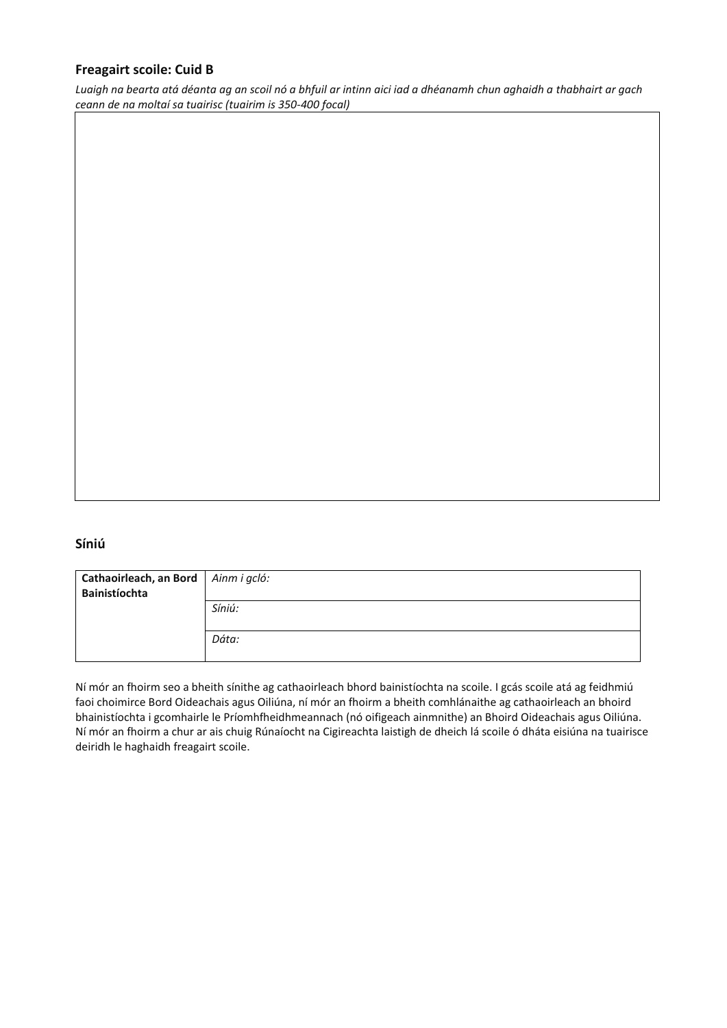# **Freagairt scoile: Cuid B**

*Luaigh na bearta atá déanta ag an scoil nó a bhfuil ar intinn aici iad a dhéanamh chun aghaidh a thabhairt ar gach ceann de na moltaí sa tuairisc (tuairim is 350-400 focal)*

# **Síniú**

| Cathaoirleach, an Bord   Ainm i gcló:<br>Bainistíochta |        |
|--------------------------------------------------------|--------|
|                                                        | Síniú: |
|                                                        | Dáta:  |

Ní mór an fhoirm seo a bheith sínithe ag cathaoirleach bhord bainistíochta na scoile. I gcás scoile atá ag feidhmiú faoi choimirce Bord Oideachais agus Oiliúna, ní mór an fhoirm a bheith comhlánaithe ag cathaoirleach an bhoird bhainistíochta i gcomhairle le Príomhfheidhmeannach (nó oifigeach ainmnithe) an Bhoird Oideachais agus Oiliúna. Ní mór an fhoirm a chur ar ais chuig Rúnaíocht na Cigireachta laistigh de dheich lá scoile ó dháta eisiúna na tuairisce deiridh le haghaidh freagairt scoile.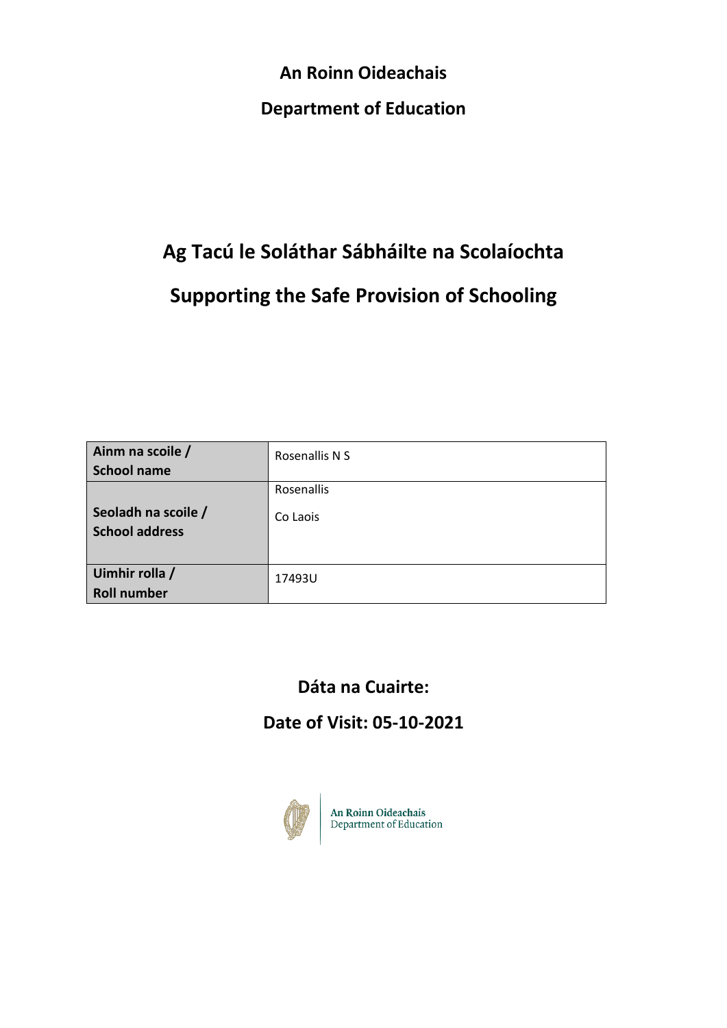**An Roinn Oideachais Department of Education**

# **Ag Tacú le Soláthar Sábháilte na Scolaíochta Supporting the Safe Provision of Schooling**

| Ainm na scoile /<br><b>School name</b>       | Rosenallis N S         |
|----------------------------------------------|------------------------|
| Seoladh na scoile /<br><b>School address</b> | Rosenallis<br>Co Laois |
| Uimhir rolla /<br><b>Roll number</b>         | 17493U                 |

# **Dáta na Cuairte:**

# **Date of Visit: 05-10-2021**



An Roinn Oideachais<br>Department of Education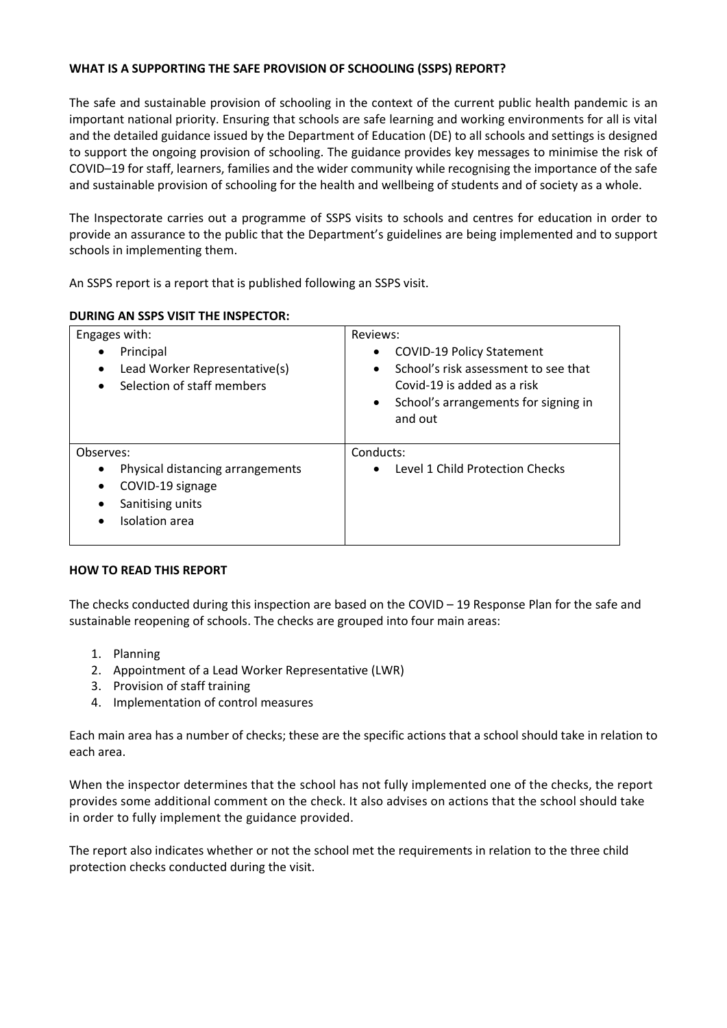# **WHAT IS A SUPPORTING THE SAFE PROVISION OF SCHOOLING (SSPS) REPORT?**

The safe and sustainable provision of schooling in the context of the current public health pandemic is an important national priority. Ensuring that schools are safe learning and working environments for all is vital and the detailed guidance issued by the Department of Education (DE) to all schools and settings is designed to support the ongoing provision of schooling. The guidance provides key messages to minimise the risk of COVID–19 for staff, learners, families and the wider community while recognising the importance of the safe and sustainable provision of schooling for the health and wellbeing of students and of society as a whole.

The Inspectorate carries out a programme of SSPS visits to schools and centres for education in order to provide an assurance to the public that the Department's guidelines are being implemented and to support schools in implementing them.

An SSPS report is a report that is published following an SSPS visit.

### **DURING AN SSPS VISIT THE INSPECTOR:**

| Engages with:                                                                              | Reviews:                                                                                                                                                                                  |
|--------------------------------------------------------------------------------------------|-------------------------------------------------------------------------------------------------------------------------------------------------------------------------------------------|
| Principal<br>Lead Worker Representative(s)<br>Selection of staff members                   | <b>COVID-19 Policy Statement</b><br>٠<br>School's risk assessment to see that<br>$\bullet$<br>Covid-19 is added as a risk<br>School's arrangements for signing in<br>$\bullet$<br>and out |
| Observes:                                                                                  | Conducts:                                                                                                                                                                                 |
| Physical distancing arrangements<br>COVID-19 signage<br>Sanitising units<br>Isolation area | Level 1 Child Protection Checks<br>$\bullet$                                                                                                                                              |

### **HOW TO READ THIS REPORT**

The checks conducted during this inspection are based on the COVID – 19 Response Plan for the safe and sustainable reopening of schools. The checks are grouped into four main areas:

- 1. Planning
- 2. Appointment of a Lead Worker Representative (LWR)
- 3. Provision of staff training
- 4. Implementation of control measures

Each main area has a number of checks; these are the specific actions that a school should take in relation to each area.

When the inspector determines that the school has not fully implemented one of the checks, the report provides some additional comment on the check. It also advises on actions that the school should take in order to fully implement the guidance provided.

The report also indicates whether or not the school met the requirements in relation to the three child protection checks conducted during the visit.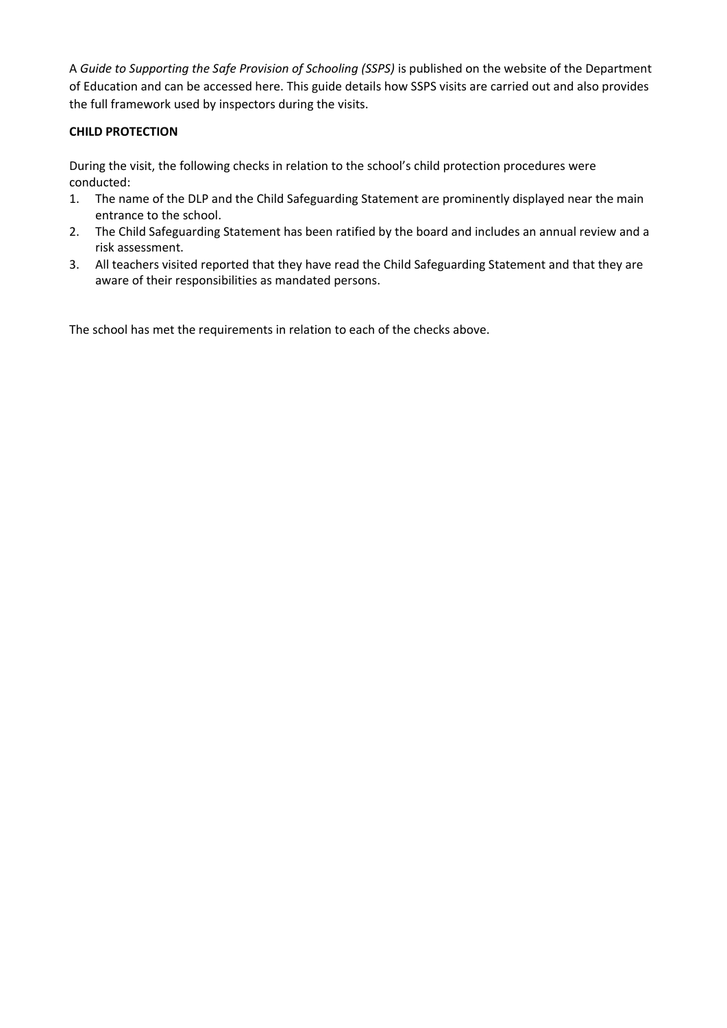A *Guide to Supporting the Safe Provision of Schooling (SSPS)* is published on the website of the Department of Education and can be accessed here. This guide details how SSPS visits are carried out and also provides the full framework used by inspectors during the visits.

# **CHILD PROTECTION**

During the visit, the following checks in relation to the school's child protection procedures were conducted:

- 1. The name of the DLP and the Child Safeguarding Statement are prominently displayed near the main entrance to the school.
- 2. The Child Safeguarding Statement has been ratified by the board and includes an annual review and a risk assessment.
- 3. All teachers visited reported that they have read the Child Safeguarding Statement and that they are aware of their responsibilities as mandated persons.

The school has met the requirements in relation to each of the checks above.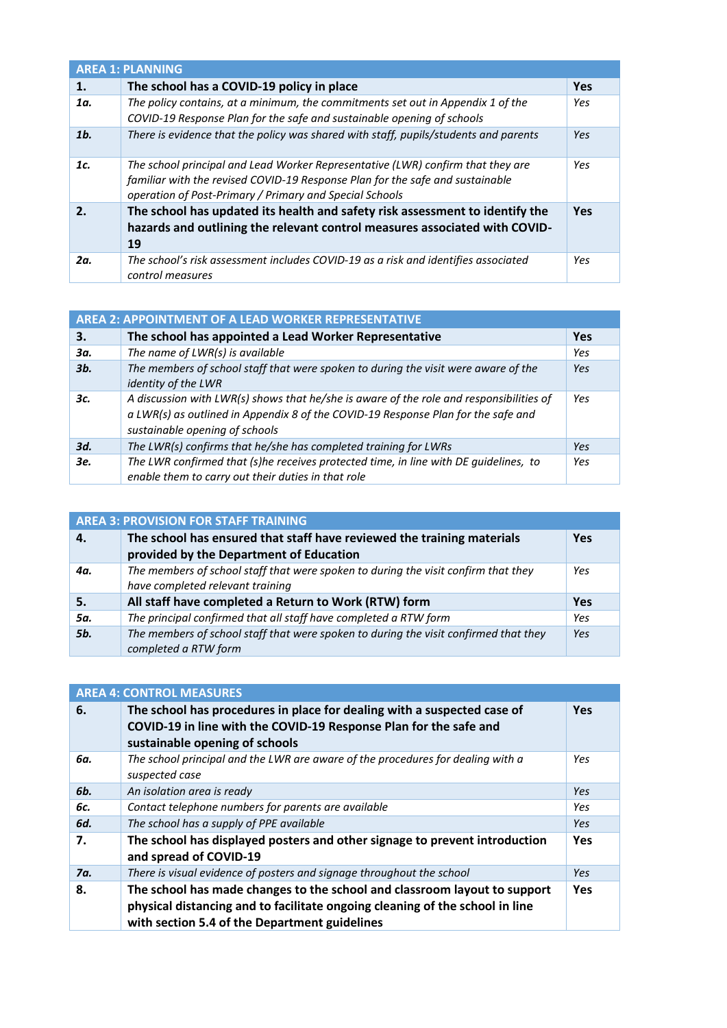| <b>AREA 1: PLANNING</b> |                                                                                                                                                                                                                             |            |
|-------------------------|-----------------------------------------------------------------------------------------------------------------------------------------------------------------------------------------------------------------------------|------------|
| 1.                      | The school has a COVID-19 policy in place                                                                                                                                                                                   | <b>Yes</b> |
| 1a.                     | The policy contains, at a minimum, the commitments set out in Appendix 1 of the<br>COVID-19 Response Plan for the safe and sustainable opening of schools                                                                   | Yes        |
| 1 <sub>b</sub>          | There is evidence that the policy was shared with staff, pupils/students and parents                                                                                                                                        | Yes        |
| 1c.                     | The school principal and Lead Worker Representative (LWR) confirm that they are<br>familiar with the revised COVID-19 Response Plan for the safe and sustainable<br>operation of Post-Primary / Primary and Special Schools | Yes        |
| $\mathbf{2}$            | The school has updated its health and safety risk assessment to identify the<br>hazards and outlining the relevant control measures associated with COVID-<br>19                                                            | <b>Yes</b> |
| 2a.                     | The school's risk assessment includes COVID-19 as a risk and identifies associated<br>control measures                                                                                                                      | Yes        |

# **AREA 2: APPOINTMENT OF A LEAD WORKER REPRESENTATIVE**

| З.  | The school has appointed a Lead Worker Representative                                                                                                                                                          | <b>Yes</b> |
|-----|----------------------------------------------------------------------------------------------------------------------------------------------------------------------------------------------------------------|------------|
| Зα. | The name of LWR(s) is available                                                                                                                                                                                | Yes        |
| 3b. | The members of school staff that were spoken to during the visit were aware of the<br>identity of the LWR                                                                                                      | Yes        |
| 3с. | A discussion with LWR(s) shows that he/she is aware of the role and responsibilities of<br>a LWR(s) as outlined in Appendix 8 of the COVID-19 Response Plan for the safe and<br>sustainable opening of schools | Yes        |
| 3d. | The LWR(s) confirms that he/she has completed training for LWRs                                                                                                                                                | Yes        |
| 3е. | The LWR confirmed that (s)he receives protected time, in line with DE guidelines, to<br>enable them to carry out their duties in that role                                                                     | Yes        |

| <b>AREA 3: PROVISION FOR STAFF TRAINING</b> |                                                                                                                        |            |
|---------------------------------------------|------------------------------------------------------------------------------------------------------------------------|------------|
| 4.                                          | The school has ensured that staff have reviewed the training materials                                                 | <b>Yes</b> |
|                                             | provided by the Department of Education                                                                                |            |
| 4α.                                         | The members of school staff that were spoken to during the visit confirm that they<br>have completed relevant training | Yes        |
| 5.                                          | All staff have completed a Return to Work (RTW) form                                                                   | <b>Yes</b> |
| 5a.                                         | The principal confirmed that all staff have completed a RTW form                                                       | Yes        |
| 5b.                                         | The members of school staff that were spoken to during the visit confirmed that they<br>completed a RTW form           | Yes        |

| <b>AREA 4: CONTROL MEASURES</b> |                                                                                                                                                                                                            |            |
|---------------------------------|------------------------------------------------------------------------------------------------------------------------------------------------------------------------------------------------------------|------------|
| 6.                              | The school has procedures in place for dealing with a suspected case of<br>COVID-19 in line with the COVID-19 Response Plan for the safe and<br>sustainable opening of schools                             | <b>Yes</b> |
| 6a.                             | The school principal and the LWR are aware of the procedures for dealing with a<br>suspected case                                                                                                          | Yes        |
| 6b.                             | An isolation area is ready                                                                                                                                                                                 | Yes        |
| 6c.                             | Contact telephone numbers for parents are available                                                                                                                                                        | Yes        |
| 6d.                             | The school has a supply of PPE available                                                                                                                                                                   | Yes        |
| 7.                              | The school has displayed posters and other signage to prevent introduction<br>and spread of COVID-19                                                                                                       | <b>Yes</b> |
| 7a.                             | There is visual evidence of posters and signage throughout the school                                                                                                                                      | Yes        |
| 8.                              | The school has made changes to the school and classroom layout to support<br>physical distancing and to facilitate ongoing cleaning of the school in line<br>with section 5.4 of the Department guidelines | <b>Yes</b> |